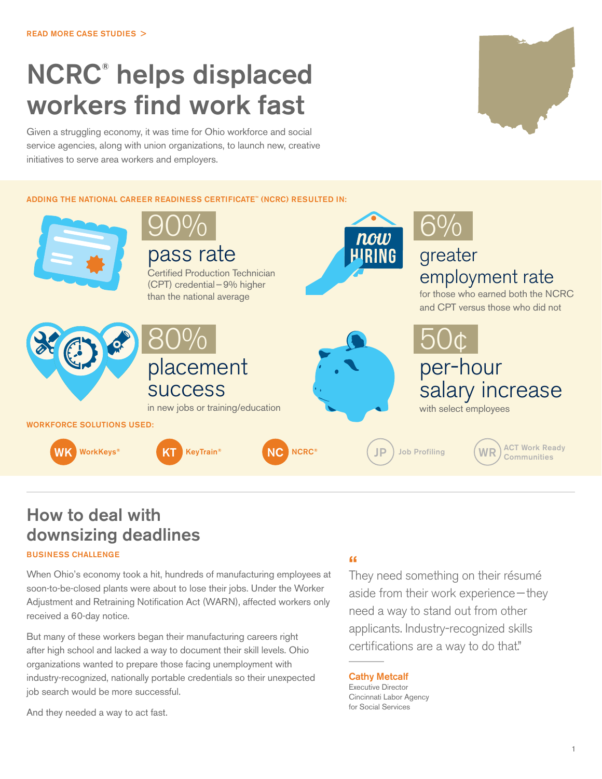# NCRC**®** helps displaced workers find work fast

Given a struggling economy, it was time for Ohio workforce and social service agencies, along with union organizations, to launch new, creative initiatives to serve area workers and employers.

ADDING THE NATIONAL CAREER READINESS CERTIFICATE™ (NCRC) RESULTED IN:



## How to deal with downsizing deadlines

#### BUSINESS CHALLENGE

When Ohio's economy took a hit, hundreds of manufacturing employees at soon-to-be-closed plants were about to lose their jobs. Under the Worker Adjustment and Retraining Notification Act (WARN), affected workers only received a 60-day notice.

But many of these workers began their manufacturing careers right after high school and lacked a way to document their skill levels. Ohio organizations wanted to prepare those facing unemployment with industry-recognized, nationally portable credentials so their unexpected job search would be more successful.

And they needed a way to act fast.

### **"**

They need something on their résumé aside from their work experience—they need a way to stand out from other applicants. Industry-recognized skills certifications are a way to do that."

Cathy Metcalf

Executive Director Cincinnati Labor Agency for Social Services